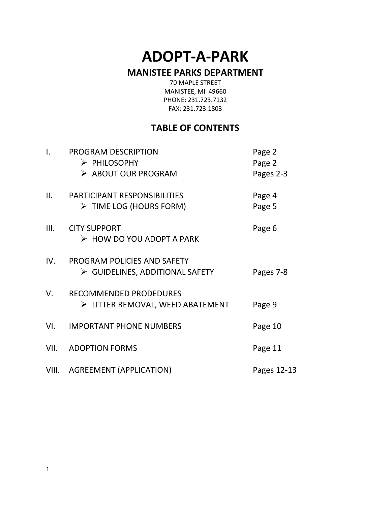# **ADOPT-A-PARK**

### **MANISTEE PARKS DEPARTMENT**

70 MAPLE STREET MANISTEE, MI 49660 PHONE: 231.723.7132 FAX: 231.723.1803

### **TABLE OF CONTENTS**

| $\mathbf{I}$ . | PROGRAM DESCRIPTION<br>> PHILOSOPHY<br>> ABOUT OUR PROGRAM                    | Page 2<br>Page 2<br>Pages 2-3 |
|----------------|-------------------------------------------------------------------------------|-------------------------------|
| II.            | <b>PARTICIPANT RESPONSIBILITIES</b><br>$\triangleright$ TIME LOG (HOURS FORM) | Page 4<br>Page 5              |
| III.           | <b>CITY SUPPORT</b><br>$\triangleright$ HOW DO YOU ADOPT A PARK               | Page 6                        |
| IV.            | PROGRAM POLICIES AND SAFETY<br>$\triangleright$ GUIDELINES, ADDITIONAL SAFETY | Pages 7-8                     |
| V.             | RECOMMENDED PRODEDURES<br>$\triangleright$ LITTER REMOVAL, WEED ABATEMENT     | Page 9                        |
| VI.            | <b>IMPORTANT PHONE NUMBERS</b>                                                | Page 10                       |
| VII.           | <b>ADOPTION FORMS</b>                                                         | Page 11                       |
| VIII.          | <b>AGREEMENT (APPLICATION)</b>                                                | Pages 12-13                   |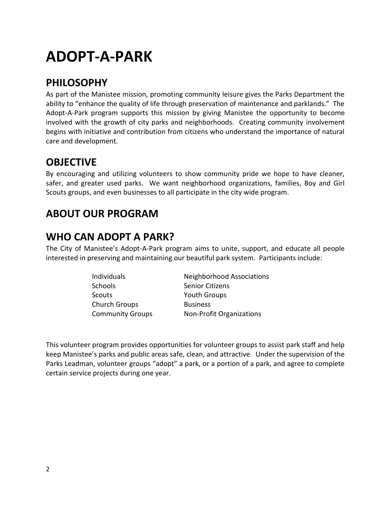# **ADOPT-A-PARK**

### **PHILOSOPHY**

As part of the Manistee mission, promoting community leisure gives the Parks Department the ability to "enhance the quality of life through preservation of maintenance and parklands." The Adopt-A-Park program supports this mission by giving Manistee the opportunity to become involved with the growth of city parks and neighborhoods. Creating community involvement begins with initiative and contribution from citizens who understand the importance of natural care and development.

### **OBJECTIVE**

By encouraging and utilizing volunteers to show community pride we hope to have cleaner, safer, and greater used parks. We want neighborhood organizations, families, Boy and Girl Scouts groups, and even businesses to all participate in the city wide program.

# **ABOUT OUR PROGRAM**

# **WHO CAN ADOPT A PARK?**

The City of Manistee's Adopt-A-Park program aims to unite, support, and educate all people interested in preserving and maintaining our beautiful park system. Participants include:

| Individuals             | <b>Neighborhood Associations</b> |
|-------------------------|----------------------------------|
| <b>Schools</b>          | <b>Senior Citizens</b>           |
| <b>Scouts</b>           | <b>Youth Groups</b>              |
| <b>Church Groups</b>    | <b>Business</b>                  |
| <b>Community Groups</b> | <b>Non-Profit Organizations</b>  |

This volunteer program provides opportunities for volunteer groups to assist park staff and help keep Manistee's parks and public areas safe, clean, and attractive. Under the supervision of the Parks Leadman, volunteer groups "adopt" a park, or a portion of a park, and agree to complete certain service projects during one year.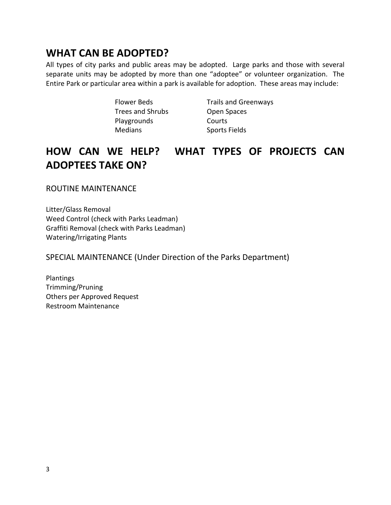### **WHAT CAN BE ADOPTED?**

All types of city parks and public areas may be adopted. Large parks and those with several separate units may be adopted by more than one "adoptee" or volunteer organization. The Entire Park or particular area within a park is available for adoption. These areas may include:

> Flower Beds Trails and Greenways Trees and Shrubs Open Spaces Playgrounds Courts Medians Sports Fields

# **HOW CAN WE HELP? WHAT TYPES OF PROJECTS CAN ADOPTEES TAKE ON?**

ROUTINE MAINTENANCE

Litter/Glass Removal Weed Control (check with Parks Leadman) Graffiti Removal (check with Parks Leadman) Watering/Irrigating Plants

SPECIAL MAINTENANCE (Under Direction of the Parks Department)

Plantings Trimming/Pruning Others per Approved Request Restroom Maintenance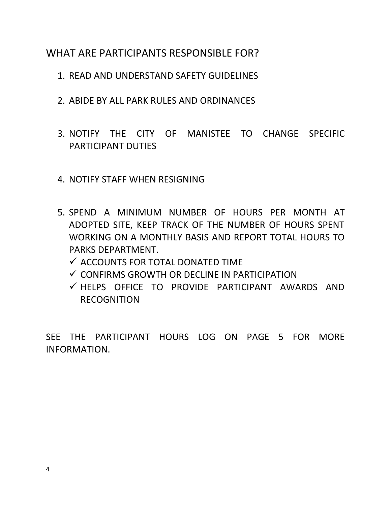### WHAT ARE PARTICIPANTS RESPONSIBLE FOR?

- 1. READ AND UNDERSTAND SAFETY GUIDELINES
- 2. ABIDE BY ALL PARK RULES AND ORDINANCES
- 3. NOTIFY THE CITY OF MANISTEE TO CHANGE SPECIFIC PARTICIPANT DUTIES
- 4. NOTIFY STAFF WHEN RESIGNING
- 5. SPEND A MINIMUM NUMBER OF HOURS PER MONTH AT ADOPTED SITE, KEEP TRACK OF THE NUMBER OF HOURS SPENT WORKING ON A MONTHLY BASIS AND REPORT TOTAL HOURS TO PARKS DEPARTMENT.
	- $\checkmark$  accounts for total donated time.
	- $\checkmark$  confirms growth or decline in participation
	- $\checkmark$  HELPS OFFICE TO PROVIDE PARTICIPANT AWARDS AND RECOGNITION

SEE THE PARTICIPANT HOURS LOG ON PAGE 5 FOR MORE INFORMATION.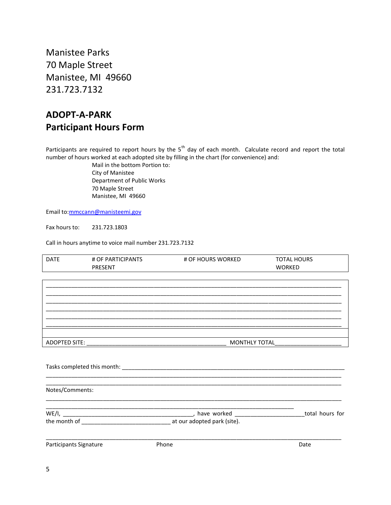Manistee Parks 70 Maple Street Manistee, MI 49660 231.723.7132

### **ADOPT-A-PARK Participant Hours Form**

Participants are required to report hours by the 5<sup>th</sup> day of each month. Calculate record and report the total number of hours worked at each adopted site by filling in the chart (for convenience) and:

> Mail in the bottom Portion to: City of Manistee Department of Public Works 70 Maple Street Manistee, MI 49660

Email to[:mmccann@manisteemi.gov](mailto:mmccann@manisteemi.gov)

Fax hours to: 231.723.1803

Call in hours anytime to voice mail number 231.723.7132

| <b>DATE</b>            | # OF PARTICIPANTS<br><b>PRESENT</b> | # OF HOURS WORKED | <b>TOTAL HOURS</b><br><b>WORKED</b> |
|------------------------|-------------------------------------|-------------------|-------------------------------------|
|                        |                                     |                   |                                     |
|                        |                                     |                   |                                     |
|                        |                                     |                   |                                     |
|                        |                                     |                   |                                     |
|                        |                                     |                   |                                     |
|                        |                                     |                   |                                     |
|                        |                                     |                   |                                     |
|                        |                                     |                   |                                     |
|                        |                                     |                   |                                     |
| Notes/Comments:        |                                     |                   |                                     |
|                        |                                     |                   |                                     |
|                        |                                     |                   | total hours for                     |
|                        |                                     |                   |                                     |
| Participants Signature |                                     | Phone             | Date                                |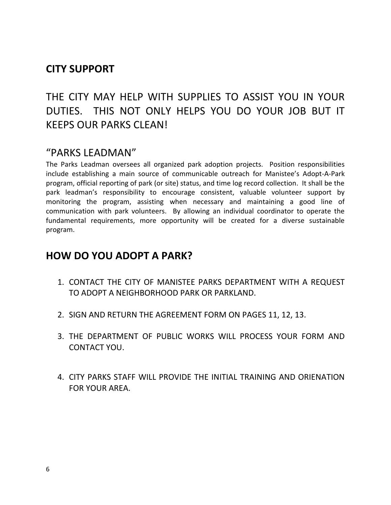### **CITY SUPPORT**

THE CITY MAY HELP WITH SUPPLIES TO ASSIST YOU IN YOUR DUTIES. THIS NOT ONLY HELPS YOU DO YOUR JOB BUT IT KEEPS OUR PARKS CLEAN!

### "PARKS LEADMAN"

The Parks Leadman oversees all organized park adoption projects. Position responsibilities include establishing a main source of communicable outreach for Manistee's Adopt-A-Park program, official reporting of park (or site) status, and time log record collection. It shall be the park leadman's responsibility to encourage consistent, valuable volunteer support by monitoring the program, assisting when necessary and maintaining a good line of communication with park volunteers. By allowing an individual coordinator to operate the fundamental requirements, more opportunity will be created for a diverse sustainable program.

### **HOW DO YOU ADOPT A PARK?**

- 1. CONTACT THE CITY OF MANISTEE PARKS DEPARTMENT WITH A REQUEST TO ADOPT A NEIGHBORHOOD PARK OR PARKLAND.
- 2. SIGN AND RETURN THE AGREEMENT FORM ON PAGES 11, 12, 13.
- 3. THE DEPARTMENT OF PUBLIC WORKS WILL PROCESS YOUR FORM AND CONTACT YOU.
- 4. CITY PARKS STAFF WILL PROVIDE THE INITIAL TRAINING AND ORIENATION FOR YOUR AREA.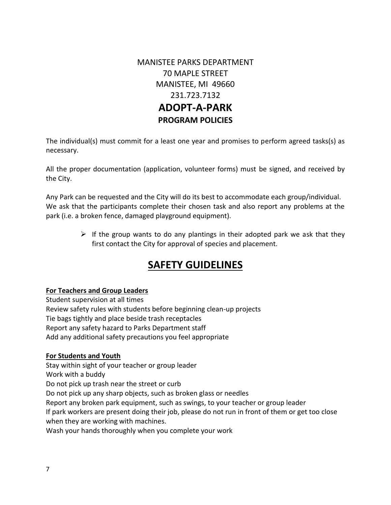MANISTEE PARKS DEPARTMENT 70 MAPLE STREET MANISTEE, MI 49660 231.723.7132 **ADOPT-A-PARK PROGRAM POLICIES**

The individual(s) must commit for a least one year and promises to perform agreed tasks(s) as necessary.

All the proper documentation (application, volunteer forms) must be signed, and received by the City.

Any Park can be requested and the City will do its best to accommodate each group/individual. We ask that the participants complete their chosen task and also report any problems at the park (i.e. a broken fence, damaged playground equipment).

> $\triangleright$  If the group wants to do any plantings in their adopted park we ask that they first contact the City for approval of species and placement.

### **SAFETY GUIDELINES**

#### **For Teachers and Group Leaders**

Student supervision at all times Review safety rules with students before beginning clean-up projects Tie bags tightly and place beside trash receptacles Report any safety hazard to Parks Department staff Add any additional safety precautions you feel appropriate

#### **For Students and Youth**

Stay within sight of your teacher or group leader Work with a buddy Do not pick up trash near the street or curb Do not pick up any sharp objects, such as broken glass or needles Report any broken park equipment, such as swings, to your teacher or group leader If park workers are present doing their job, please do not run in front of them or get too close when they are working with machines. Wash your hands thoroughly when you complete your work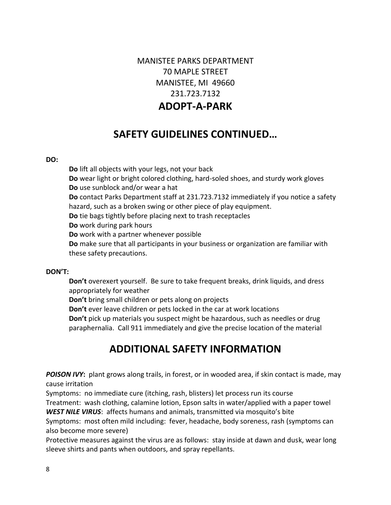### MANISTEE PARKS DEPARTMENT 70 MAPLE STREET MANISTEE, MI 49660 231.723.7132 **ADOPT-A-PARK**

## **SAFETY GUIDELINES CONTINUED…**

#### **DO:**

**Do** lift all objects with your legs, not your back **Do** wear light or bright colored clothing, hard-soled shoes, and sturdy work gloves **Do** use sunblock and/or wear a hat **Do** contact Parks Department staff at 231.723.7132 immediately if you notice a safety hazard, such as a broken swing or other piece of play equipment. **Do** tie bags tightly before placing next to trash receptacles **Do** work during park hours **Do** work with a partner whenever possible **Do** make sure that all participants in your business or organization are familiar with these safety precautions.

#### **DON'T:**

**Don't** overexert yourself. Be sure to take frequent breaks, drink liquids, and dress appropriately for weather

**Don't** bring small children or pets along on projects

**Don't** ever leave children or pets locked in the car at work locations

**Don't** pick up materials you suspect might be hazardous, such as needles or drug paraphernalia. Call 911 immediately and give the precise location of the material

### **ADDITIONAL SAFETY INFORMATION**

**POISON IVY:** plant grows along trails, in forest, or in wooded area, if skin contact is made, may cause irritation

Symptoms: no immediate cure (itching, rash, blisters) let process run its course

Treatment: wash clothing, calamine lotion, Epson salts in water/applied with a paper towel *WEST NILE VIRUS*: affects humans and animals, transmitted via mosquito's bite

Symptoms: most often mild including: fever, headache, body soreness, rash (symptoms can also become more severe)

Protective measures against the virus are as follows: stay inside at dawn and dusk, wear long sleeve shirts and pants when outdoors, and spray repellants.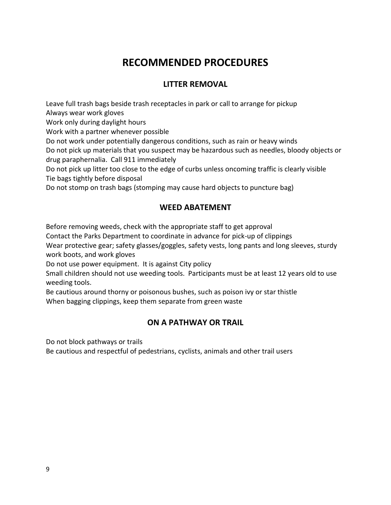# **RECOMMENDED PROCEDURES**

#### **LITTER REMOVAL**

Leave full trash bags beside trash receptacles in park or call to arrange for pickup Always wear work gloves

Work only during daylight hours

Work with a partner whenever possible

Do not work under potentially dangerous conditions, such as rain or heavy winds

Do not pick up materials that you suspect may be hazardous such as needles, bloody objects or drug paraphernalia. Call 911 immediately

Do not pick up litter too close to the edge of curbs unless oncoming traffic is clearly visible Tie bags tightly before disposal

Do not stomp on trash bags (stomping may cause hard objects to puncture bag)

#### **WEED ABATEMENT**

Before removing weeds, check with the appropriate staff to get approval

Contact the Parks Department to coordinate in advance for pick-up of clippings

Wear protective gear; safety glasses/goggles, safety vests, long pants and long sleeves, sturdy work boots, and work gloves

Do not use power equipment. It is against City policy

Small children should not use weeding tools. Participants must be at least 12 years old to use weeding tools.

Be cautious around thorny or poisonous bushes, such as poison ivy or star thistle When bagging clippings, keep them separate from green waste

#### **ON A PATHWAY OR TRAIL**

Do not block pathways or trails

Be cautious and respectful of pedestrians, cyclists, animals and other trail users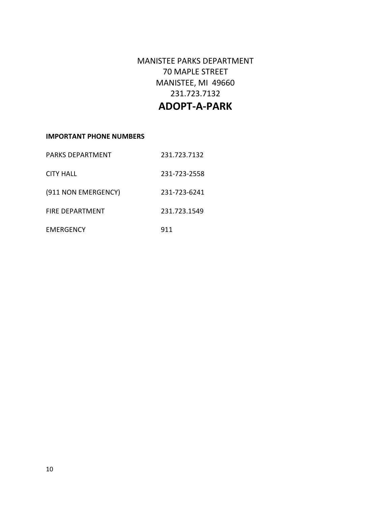MANISTEE PARKS DEPARTMENT 70 MAPLE STREET MANISTEE, MI 49660 231.723.7132

### **ADOPT-A-PARK**

#### **IMPORTANT PHONE NUMBERS**

| <b>PARKS DEPARTMENT</b> | 231.723.7132 |
|-------------------------|--------------|
| <b>CITY HALL</b>        | 231-723-2558 |
| (911 NON EMERGENCY)     | 231-723-6241 |
| <b>FIRE DEPARTMENT</b>  | 231.723.1549 |
| EMERGENCY               | 911          |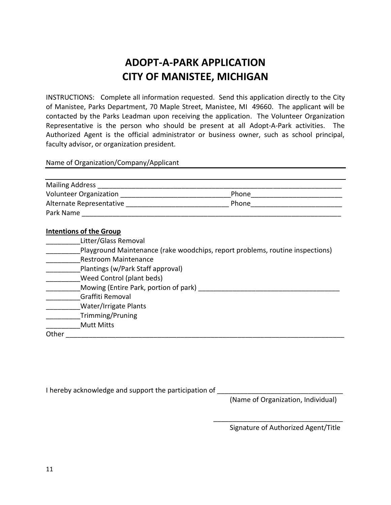# **ADOPT-A-PARK APPLICATION CITY OF MANISTEE, MICHIGAN**

INSTRUCTIONS: Complete all information requested. Send this application directly to the City of Manistee, Parks Department, 70 Maple Street, Manistee, MI 49660. The applicant will be contacted by the Parks Leadman upon receiving the application. The Volunteer Organization Representative is the person who should be present at all Adopt-A-Park activities. The Authorized Agent is the official administrator or business owner, such as school principal, faculty advisor, or organization president.

Name of Organization/Company/Applicant

| <b>Mailing Address</b>        |       |  |
|-------------------------------|-------|--|
| <b>Volunteer Organization</b> | Phone |  |
| Alternate Representative      | Phone |  |
| Park Name                     |       |  |

#### **Intentions of the Group**

- \_\_\_\_\_\_\_\_\_Litter/Glass Removal
- \_\_\_\_\_\_\_\_\_Playground Maintenance (rake woodchips, report problems, routine inspections)
- \_\_\_\_\_\_\_\_\_Restroom Maintenance
- \_\_\_\_\_\_\_\_\_Plantings (w/Park Staff approval)
- \_\_\_\_\_\_\_\_\_Weed Control (plant beds)
- Mowing (Entire Park, portion of park) **Example 2018**
- \_\_\_\_\_\_\_\_\_Graffiti Removal
- \_\_\_\_\_\_\_\_\_Water/Irrigate Plants
- \_\_\_\_\_\_\_\_\_Trimming/Pruning
- \_\_\_\_\_\_\_\_\_Mutt Mitts

Other \_\_\_\_\_\_\_\_\_\_\_\_\_\_\_\_\_\_\_\_\_\_\_\_\_\_\_\_\_\_\_\_\_\_\_\_\_\_\_\_\_\_\_\_\_\_\_\_\_\_\_\_\_\_\_\_\_\_\_\_\_\_\_\_\_\_\_\_\_\_\_\_\_

| I hereby acknowledge and support the participation of |  |
|-------------------------------------------------------|--|
|-------------------------------------------------------|--|

(Name of Organization, Individual)

Signature of Authorized Agent/Title

\_\_\_\_\_\_\_\_\_\_\_\_\_\_\_\_\_\_\_\_\_\_\_\_\_\_\_\_\_\_\_\_\_\_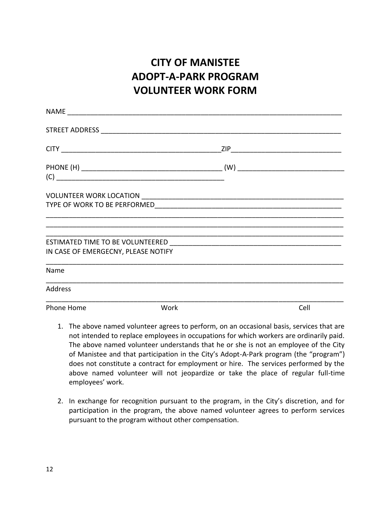# **CITY OF MANISTEE ADOPT-A-PARK PROGRAM VOLUNTEER WORK FORM**

| IN CASE OF EMERGECNY, PLEASE NOTIFY |      |      |
|-------------------------------------|------|------|
| Name                                |      |      |
| Address                             |      |      |
| Phone Home                          | Work | Cell |

- 1. The above named volunteer agrees to perform, on an occasional basis, services that are not intended to replace employees in occupations for which workers are ordinarily paid. The above named volunteer understands that he or she is not an employee of the City of Manistee and that participation in the City's Adopt-A-Park program (the "program") does not constitute a contract for employment or hire. The services performed by the above named volunteer will not jeopardize or take the place of regular full-time employees' work.
- 2. In exchange for recognition pursuant to the program, in the City's discretion, and for participation in the program, the above named volunteer agrees to perform services pursuant to the program without other compensation.